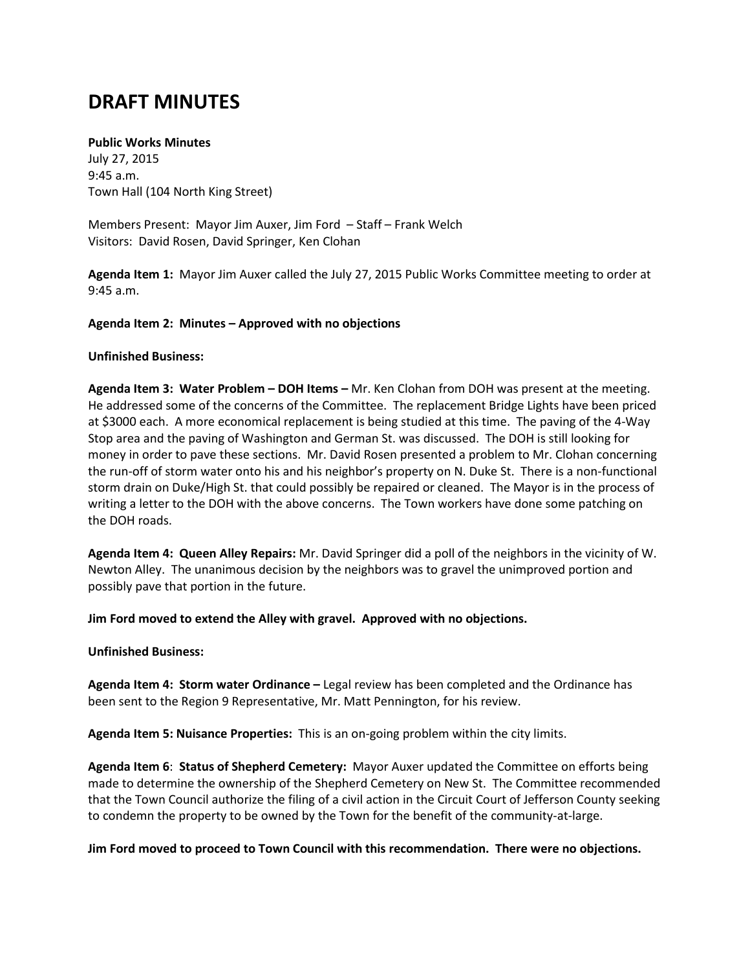# **DRAFT MINUTES**

### **Public Works Minutes**

July 27, 2015 9:45 a.m. Town Hall (104 North King Street)

Members Present: Mayor Jim Auxer, Jim Ford – Staff – Frank Welch Visitors: David Rosen, David Springer, Ken Clohan

**Agenda Item 1:** Mayor Jim Auxer called the July 27, 2015 Public Works Committee meeting to order at 9:45 a.m.

### **Agenda Item 2: Minutes – Approved with no objections**

### **Unfinished Business:**

**Agenda Item 3: Water Problem – DOH Items –** Mr. Ken Clohan from DOH was present at the meeting. He addressed some of the concerns of the Committee. The replacement Bridge Lights have been priced at \$3000 each. A more economical replacement is being studied at this time. The paving of the 4-Way Stop area and the paving of Washington and German St. was discussed. The DOH is still looking for money in order to pave these sections. Mr. David Rosen presented a problem to Mr. Clohan concerning the run-off of storm water onto his and his neighbor's property on N. Duke St. There is a non-functional storm drain on Duke/High St. that could possibly be repaired or cleaned. The Mayor is in the process of writing a letter to the DOH with the above concerns. The Town workers have done some patching on the DOH roads.

**Agenda Item 4: Queen Alley Repairs:** Mr. David Springer did a poll of the neighbors in the vicinity of W. Newton Alley. The unanimous decision by the neighbors was to gravel the unimproved portion and possibly pave that portion in the future.

**Jim Ford moved to extend the Alley with gravel. Approved with no objections.**

### **Unfinished Business:**

**Agenda Item 4: Storm water Ordinance –** Legal review has been completed and the Ordinance has been sent to the Region 9 Representative, Mr. Matt Pennington, for his review.

**Agenda Item 5: Nuisance Properties:** This is an on-going problem within the city limits.

**Agenda Item 6**: **Status of Shepherd Cemetery:** Mayor Auxer updated the Committee on efforts being made to determine the ownership of the Shepherd Cemetery on New St. The Committee recommended that the Town Council authorize the filing of a civil action in the Circuit Court of Jefferson County seeking to condemn the property to be owned by the Town for the benefit of the community-at-large.

**Jim Ford moved to proceed to Town Council with this recommendation. There were no objections.**